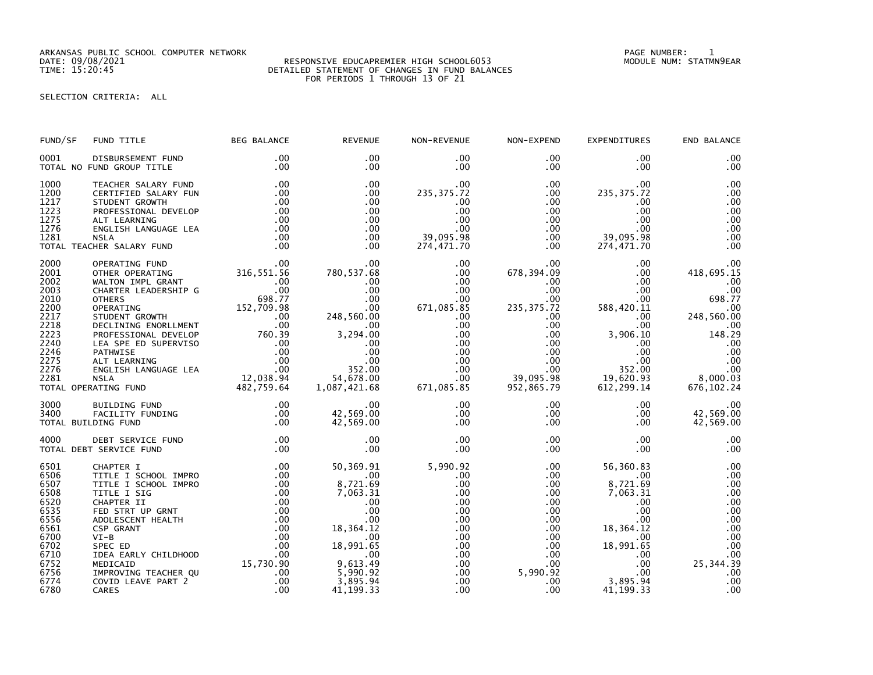ARKANSAS PUBLIC SCHOOL COMPUTER NETWORK PAGE NUMBER: 1

## DATE: 09/08/2021 RESPONSIVE EDUCAPREMIER HIGH SCHOOL6053 MODULE NUM: STATMN9EAR TIME: 15:20:45 DETAILED STATEMENT OF CHANGES IN FUND BALANCES FOR PERIODS 1 THROUGH 13 OF 21

SELECTION CRITERIA: ALL

| FUND/SF                                                                                                              | FUND TITLE                                                                                                                                                                                                                                                                                                                 | <b>BEG BALANCE</b>                                                                                                               | <b>REVENUE</b>                                                                                                                                                         | NON-REVENUE                                                                                                                                                           | NON-EXPEND                                                                                                                                                                               | <b>EXPENDITURES</b>                                                                                                                                                | END BALANCE                                                                                                                            |
|----------------------------------------------------------------------------------------------------------------------|----------------------------------------------------------------------------------------------------------------------------------------------------------------------------------------------------------------------------------------------------------------------------------------------------------------------------|----------------------------------------------------------------------------------------------------------------------------------|------------------------------------------------------------------------------------------------------------------------------------------------------------------------|-----------------------------------------------------------------------------------------------------------------------------------------------------------------------|------------------------------------------------------------------------------------------------------------------------------------------------------------------------------------------|--------------------------------------------------------------------------------------------------------------------------------------------------------------------|----------------------------------------------------------------------------------------------------------------------------------------|
| 0001                                                                                                                 | DISBURSEMENT FUND<br>TOTAL NO FUND GROUP TITLE                                                                                                                                                                                                                                                                             | $.00 \,$<br>.00                                                                                                                  | .00<br>.00                                                                                                                                                             | $.00 \,$<br>$.00 \,$                                                                                                                                                  | $.00 \,$<br>$.00 \,$                                                                                                                                                                     | .00<br>.00                                                                                                                                                         | .00<br>.00                                                                                                                             |
| 1000<br>1200<br>1217<br>1223<br>1275<br>1276<br>1281                                                                 | TEACHER SALARY FUND<br>CERTIFIED SALARY FUN<br>STUDENT GROWTH<br>PROFESSIONAL DEVELOP<br>ALT LEARNING<br>ENGLISH LANGUAGE LEA<br><b>NSLA</b><br>TOTAL TEACHER SALARY FUND                                                                                                                                                  | .00<br>.00<br>.00<br>.00<br>.00<br>.00<br>.00<br>.00                                                                             | $.00 \,$<br>.00<br>.00<br>$.00 \,$<br>$.00 \,$<br>.00<br>.00<br>$.00 \,$                                                                                               | $.00 \,$<br>235, 375.72<br>.00<br>.00<br>.00<br>.00<br>39,095.98<br>274,471.70                                                                                        | $.00 \,$<br>$.00 \,$<br>.00<br>$.00 \,$<br>$.00 \,$<br>$.00 \,$<br>$.00 \,$<br>$.00 \,$                                                                                                  | .00<br>235, 375.72<br>.00<br>.00<br>.00<br>.00<br>39,095.98<br>274,471.70                                                                                          | .00<br>.00<br>.00<br>.00<br>.00<br>.00<br>.00<br>.00                                                                                   |
| 2000<br>2001<br>2002<br>2003<br>2010<br>2200<br>2217<br>2218<br>2223<br>2240<br>2246<br>2275<br>2276<br>2281         | OPERATING FUND<br>OTHER OPERATING<br>WALTON IMPL GRANT<br>CHARTER LEADERSHIP G<br><b>OTHERS</b><br>OPERATING<br>STUDENT GROWTH<br>OO .00<br>DECLINING ENORLLMENT .00<br>PROFESSIONAL DEVELOP 760.39<br>LEA SPE ED SUPERVISO .00<br>PATHWISE<br>ALT LEARNING<br>ENGLISH LANGUAGE LEA<br><b>NSLA</b><br>TOTAL OPERATING FUND | 00.<br>316,551.56<br>$.00 \,$<br>.00<br>698.77<br>152,709.98<br>$.00 \,$<br>$00$<br>.00<br>.00<br>.09<br>12,038.94<br>482,759.64 | $.00 \,$<br>780,537.68<br>$.00 \,$<br>.00<br>$.00 \,$<br>.00<br>248,560.00<br>.00.<br>3,294.00<br>.00<br>.00<br>$.00$<br>352.00<br>54,678.00<br>1,087,421.68           | $.00 \,$<br>.00<br>.00<br>$.00 \,$<br>$.00 \,$<br>671,085.85<br>.00<br>$.00 \,$<br>$.00 \,$<br>$.00 \,$<br>$.00 \,$<br>$.00 \,$<br>$.00 \,$<br>$.00 \,$<br>671,085.85 | $.00 \,$<br>678,394.09<br>$.00 \,$<br>$.00 \,$<br>$.00 \,$<br>235, 375.72<br>$.00 \,$<br>$.00 \,$<br>$.00 \,$<br>$.00 \,$<br>$.00 \,$<br>$.00 \,$<br>$.00 \,$<br>39,095.98<br>952,865.79 | $.00 \,$<br>$.00 \,$<br>$.00 \,$<br>$.00 \,$<br>$.00 \,$<br>588,420.11<br>$.00 \,$<br>.00<br>3,906.10<br>.00<br>.00<br>$.00$<br>352.00<br>19,620.93<br>612, 299.14 | .00<br>418,695.15<br>.00<br>.00<br>698.77<br>.00<br>248,560.00<br>.00<br>148.29<br>.00<br>.00<br>.00<br>.00<br>8,000.03<br>676, 102.24 |
| 3000<br>3400                                                                                                         | BUILDING FUND<br>FACILITY FUNDING<br>TOTAL BUILDING FUND                                                                                                                                                                                                                                                                   | $.00 \,$<br>$.00 \,$<br>$.00 \,$                                                                                                 | $.00 \,$<br>42,569.00<br>42,569.00                                                                                                                                     | $.00 \,$<br>$.00 \,$<br>$.00 \,$                                                                                                                                      | $.00 \,$<br>$.00 \,$<br>$.00 \,$                                                                                                                                                         | $.00 \,$<br>$.00 \,$<br>$.00 \,$                                                                                                                                   | .00<br>42,569.00<br>42,569.00                                                                                                          |
| 4000                                                                                                                 | DEBT SERVICE FUND<br>TOTAL DEBT SERVICE FUND                                                                                                                                                                                                                                                                               | $.00 \,$<br>.00                                                                                                                  | .00.<br>.00                                                                                                                                                            | .00<br>$.00 \,$                                                                                                                                                       | $.00 \,$<br>.00                                                                                                                                                                          | $.00 \,$<br>$.00 \,$                                                                                                                                               | .00<br>.00                                                                                                                             |
| 6501<br>6506<br>6507<br>6508<br>6520<br>6535<br>6556<br>6561<br>6700<br>6702<br>6710<br>6752<br>6756<br>6774<br>6780 | CHAPTER I<br>TITLE I SCHOOL IMPRO<br>TITLE I SCHOOL IMPRO<br>TITLE I SIG<br>CHAPTER II<br>FED STRT UP GRNT<br>ADOLESCENT HEALTH<br>CSP GRANT<br>$VI-B$<br>SPEC ED<br>IDEA EARLY CHILDHOOD<br>MEDICAID<br>IMPROVING TEACHER QU<br>COVID LEAVE PART 2<br>CARES                                                               | $.00 \,$<br>$.00 \,$<br>.00<br>.00<br>.00<br>.00<br>.00<br>.00<br>.00<br>.00<br>.00<br>15,730.90<br>.00<br>.00<br>.00            | 50,369.91<br>$.00 \,$<br>8,721.69<br>7,063.31<br>.00<br>.00<br>.00<br>18,364.12<br>$.00 \times$<br>18,991.65<br>.00<br>9,613.49<br>5,990.92<br>3,895.94<br>41, 199. 33 | 5,990.92<br>.00<br>.00<br>.00<br>.00<br>.00<br>.00<br>.00<br>$.00 \,$<br>$.00 \,$<br>$.00 \,$<br>$.00 \,$<br>.00<br>$.00 \,$<br>.00                                   | $.00 \,$<br>$.00 \,$<br>$.00 \,$<br>.00<br>$.00 \,$<br>$.00 \,$<br>$.00 \,$<br>$.00 \,$<br>$.00 \,$<br>$.00 \,$<br>$.00 \,$<br>$.00 \,$<br>5,990.92<br>$.00 \,$<br>.00                   | 56,360.83<br>.00<br>8,721.69<br>7,063.31<br>$.00 \,$<br>.00<br>.00<br>18, 364. 12<br>.00.<br>18,991.65<br>.00.<br>.00<br>.00<br>3,895.94<br>41,199.33              | .00<br>.00<br>.00<br>.00<br>.00<br>.00<br>.00<br>.00<br>.00<br>.00<br>.00<br>25,344.39<br>.00<br>.00<br>.00                            |